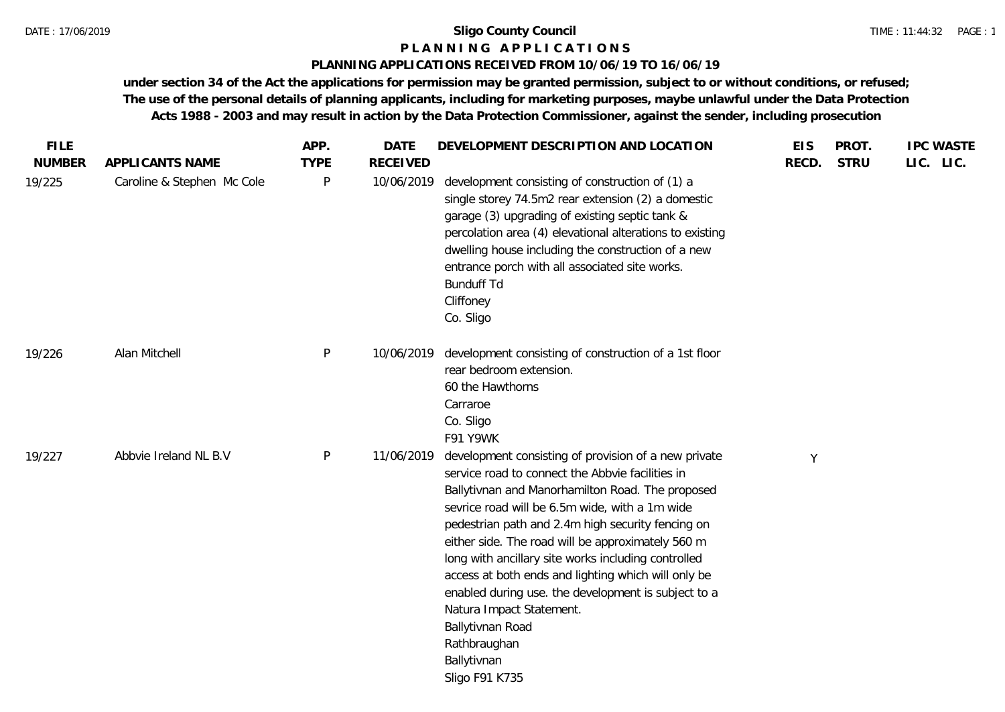#### **P L A N N I N G A P P L I C A T I O N S**

## **PLANNING APPLICATIONS RECEIVED FROM 10/06/19 TO 16/06/19**

**under section 34 of the Act the applications for permission may be granted permission, subject to or without conditions, or refused; The use of the personal details of planning applicants, including for marketing purposes, maybe unlawful under the Data Protection Acts 1988 - 2003 and may result in action by the Data Protection Commissioner, against the sender, including prosecution**

| <b>FILE</b>   |                            | APP.         | <b>DATE</b>     | DEVELOPMENT DESCRIPTION AND LOCATION                                                                                                                                                                                                                                                                                                                                                                                                                                                                                                                                                           | <b>EIS</b> | PROT.       | <b>IPC WASTE</b> |
|---------------|----------------------------|--------------|-----------------|------------------------------------------------------------------------------------------------------------------------------------------------------------------------------------------------------------------------------------------------------------------------------------------------------------------------------------------------------------------------------------------------------------------------------------------------------------------------------------------------------------------------------------------------------------------------------------------------|------------|-------------|------------------|
| <b>NUMBER</b> | APPLICANTS NAME            | <b>TYPE</b>  | <b>RECEIVED</b> |                                                                                                                                                                                                                                                                                                                                                                                                                                                                                                                                                                                                | RECD.      | <b>STRU</b> | LIC. LIC.        |
| 19/225        | Caroline & Stephen Mc Cole | $\mathsf{P}$ | 10/06/2019      | development consisting of construction of (1) a<br>single storey 74.5m2 rear extension (2) a domestic<br>garage (3) upgrading of existing septic tank &<br>percolation area (4) elevational alterations to existing<br>dwelling house including the construction of a new<br>entrance porch with all associated site works.<br><b>Bunduff Td</b><br>Cliffoney<br>Co. Sligo                                                                                                                                                                                                                     |            |             |                  |
| 19/226        | Alan Mitchell              | P            | 10/06/2019      | development consisting of construction of a 1st floor<br>rear bedroom extension.<br>60 the Hawthorns<br>Carraroe<br>Co. Sligo<br>F91 Y9WK                                                                                                                                                                                                                                                                                                                                                                                                                                                      |            |             |                  |
| 19/227        | Abbvie Ireland NL B.V      | P            | 11/06/2019      | development consisting of provision of a new private<br>service road to connect the Abbvie facilities in<br>Ballytivnan and Manorhamilton Road. The proposed<br>sevrice road will be 6.5m wide, with a 1m wide<br>pedestrian path and 2.4m high security fencing on<br>either side. The road will be approximately 560 m<br>long with ancillary site works including controlled<br>access at both ends and lighting which will only be<br>enabled during use. the development is subject to a<br>Natura Impact Statement.<br>Ballytivnan Road<br>Rathbraughan<br>Ballytivnan<br>Sligo F91 K735 | Y          |             |                  |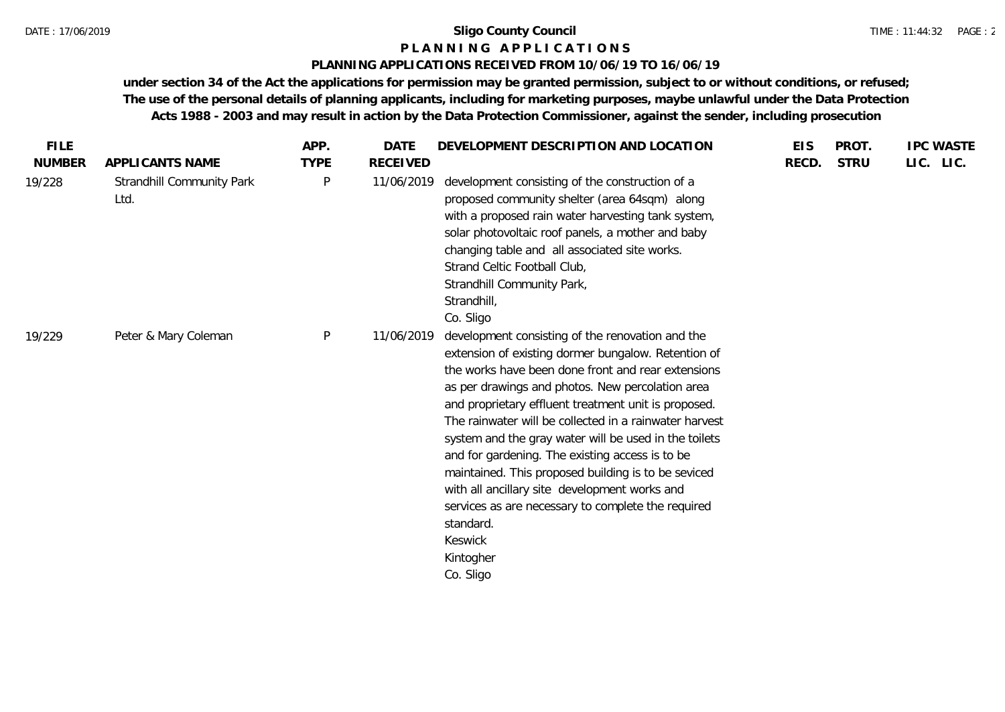#### TIME : 11:44:32 PAGE : 2

## **P L A N N I N G A P P L I C A T I O N S**

## **PLANNING APPLICATIONS RECEIVED FROM 10/06/19 TO 16/06/19**

**under section 34 of the Act the applications for permission may be granted permission, subject to or without conditions, or refused; The use of the personal details of planning applicants, including for marketing purposes, maybe unlawful under the Data Protection Acts 1988 - 2003 and may result in action by the Data Protection Commissioner, against the sender, including prosecution**

| <b>FILE</b>   |                                          | APP.         | <b>DATE</b>     | DEVELOPMENT DESCRIPTION AND LOCATION                                                                                                                                                                                                                                                                                                                                                                                                                                                                                                                                                                                                                            | <b>EIS</b> | PROT.       | <b>IPC WASTE</b> |
|---------------|------------------------------------------|--------------|-----------------|-----------------------------------------------------------------------------------------------------------------------------------------------------------------------------------------------------------------------------------------------------------------------------------------------------------------------------------------------------------------------------------------------------------------------------------------------------------------------------------------------------------------------------------------------------------------------------------------------------------------------------------------------------------------|------------|-------------|------------------|
| <b>NUMBER</b> | APPLICANTS NAME                          | <b>TYPE</b>  | <b>RECEIVED</b> |                                                                                                                                                                                                                                                                                                                                                                                                                                                                                                                                                                                                                                                                 | RECD.      | <b>STRU</b> | LIC. LIC.        |
| 19/228        | <b>Strandhill Community Park</b><br>Ltd. | P            | 11/06/2019      | development consisting of the construction of a<br>proposed community shelter (area 64sqm) along<br>with a proposed rain water harvesting tank system,<br>solar photovoltaic roof panels, a mother and baby<br>changing table and all associated site works.<br>Strand Celtic Football Club,<br>Strandhill Community Park,<br>Strandhill,<br>Co. Sligo                                                                                                                                                                                                                                                                                                          |            |             |                  |
| 19/229        | Peter & Mary Coleman                     | $\mathsf{P}$ | 11/06/2019      | development consisting of the renovation and the<br>extension of existing dormer bungalow. Retention of<br>the works have been done front and rear extensions<br>as per drawings and photos. New percolation area<br>and proprietary effluent treatment unit is proposed.<br>The rainwater will be collected in a rainwater harvest<br>system and the gray water will be used in the toilets<br>and for gardening. The existing access is to be<br>maintained. This proposed building is to be seviced<br>with all ancillary site development works and<br>services as are necessary to complete the required<br>standard.<br>Keswick<br>Kintogher<br>Co. Sligo |            |             |                  |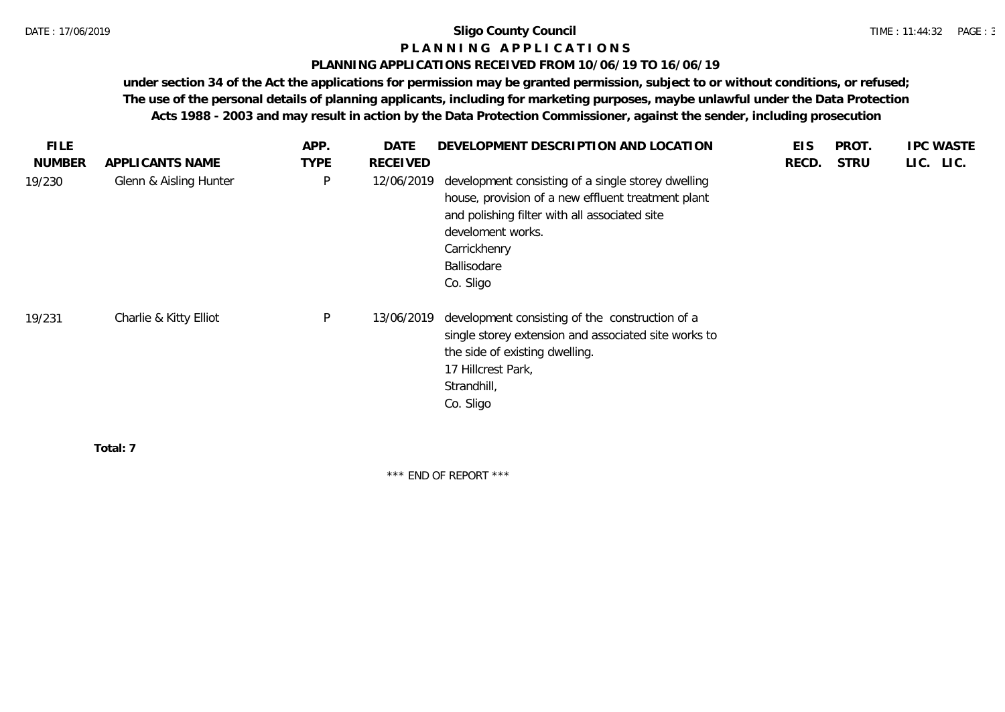#### **P L A N N I N G A P P L I C A T I O N S**

#### **PLANNING APPLICATIONS RECEIVED FROM 10/06/19 TO 16/06/19**

**under section 34 of the Act the applications for permission may be granted permission, subject to or without conditions, or refused; The use of the personal details of planning applicants, including for marketing purposes, maybe unlawful under the Data Protection Acts 1988 - 2003 and may result in action by the Data Protection Commissioner, against the sender, including prosecution**

| <b>FILE</b>   |                        | APP.        | <b>DATE</b>     | DEVELOPMENT DESCRIPTION AND LOCATION                                                                                                                                                                                       | <b>EIS</b> | PROT.       | <b>IPC WASTE</b> |
|---------------|------------------------|-------------|-----------------|----------------------------------------------------------------------------------------------------------------------------------------------------------------------------------------------------------------------------|------------|-------------|------------------|
| <b>NUMBER</b> | APPLICANTS NAME        | <b>TYPE</b> | <b>RECEIVED</b> |                                                                                                                                                                                                                            | RECD.      | <b>STRU</b> | LIC. LIC.        |
| 19/230        | Glenn & Aisling Hunter | P           | 12/06/2019      | development consisting of a single storey dwelling<br>house, provision of a new effluent treatment plant<br>and polishing filter with all associated site<br>develoment works.<br>Carrickhenry<br>Ballisodare<br>Co. Sligo |            |             |                  |
| 19/231        | Charlie & Kitty Elliot | P           | 13/06/2019      | development consisting of the construction of a<br>single storey extension and associated site works to<br>the side of existing dwelling.<br>17 Hillcrest Park,<br>Strandhill,<br>Co. Sligo                                |            |             |                  |
|               | Total: 7               |             |                 |                                                                                                                                                                                                                            |            |             |                  |

\*\*\* END OF REPORT \*\*\*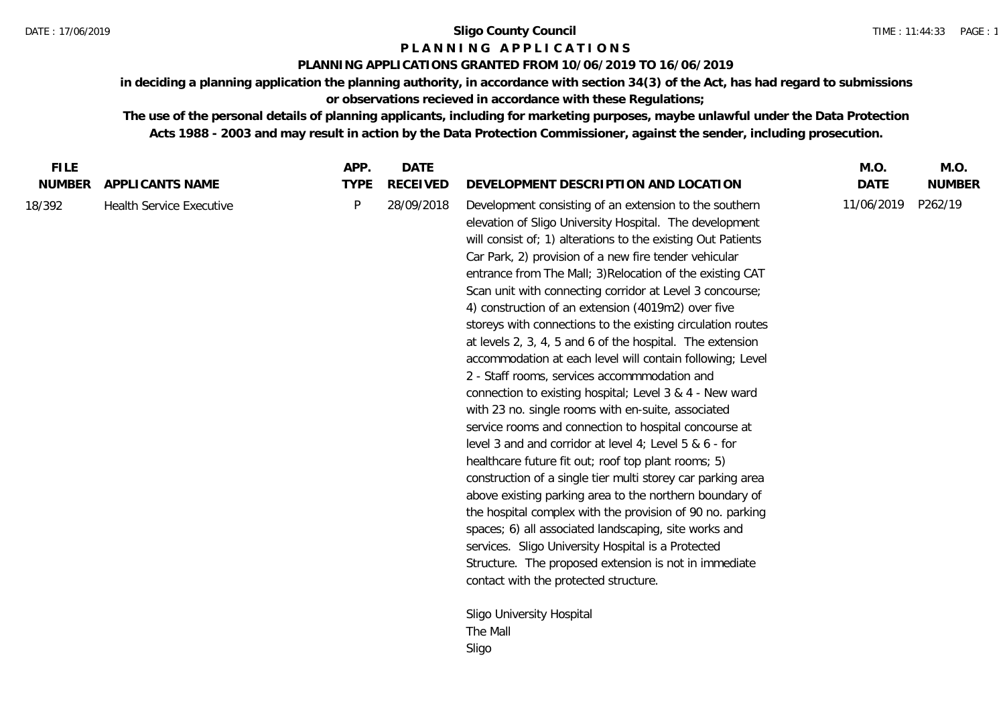### **P L A N N I N G A P P L I C A T I O N S**

## **PLANNING APPLICATIONS GRANTED FROM 10/06/2019 TO 16/06/2019**

**in deciding a planning application the planning authority, in accordance with section 34(3) of the Act, has had regard to submissions or observations recieved in accordance with these Regulations;**

**The use of the personal details of planning applicants, including for marketing purposes, maybe unlawful under the Data Protection Acts 1988 - 2003 and may result in action by the Data Protection Commissioner, against the sender, including prosecution.**

| <b>FILE</b>   |                                 | APP.        | <b>DATE</b>     |                                                                                                                                                                                                                                                                                                                                                                                                                                                                                                                                                                                                                                                                                                                                                                                                                                                                                                                                                                                                                                                                                                                                                                                                                                                                                                                                                                       | M.O.        | M.O.          |
|---------------|---------------------------------|-------------|-----------------|-----------------------------------------------------------------------------------------------------------------------------------------------------------------------------------------------------------------------------------------------------------------------------------------------------------------------------------------------------------------------------------------------------------------------------------------------------------------------------------------------------------------------------------------------------------------------------------------------------------------------------------------------------------------------------------------------------------------------------------------------------------------------------------------------------------------------------------------------------------------------------------------------------------------------------------------------------------------------------------------------------------------------------------------------------------------------------------------------------------------------------------------------------------------------------------------------------------------------------------------------------------------------------------------------------------------------------------------------------------------------|-------------|---------------|
| <b>NUMBER</b> | APPLI CANTS NAME                | <b>TYPE</b> | <b>RECEIVED</b> | DEVELOPMENT DESCRIPTION AND LOCATION                                                                                                                                                                                                                                                                                                                                                                                                                                                                                                                                                                                                                                                                                                                                                                                                                                                                                                                                                                                                                                                                                                                                                                                                                                                                                                                                  | <b>DATE</b> | <b>NUMBER</b> |
| 18/392        | <b>Health Service Executive</b> | P           | 28/09/2018      | Development consisting of an extension to the southern<br>elevation of Sligo University Hospital. The development<br>will consist of; 1) alterations to the existing Out Patients<br>Car Park, 2) provision of a new fire tender vehicular<br>entrance from The Mall; 3) Relocation of the existing CAT<br>Scan unit with connecting corridor at Level 3 concourse;<br>4) construction of an extension (4019m2) over five<br>storeys with connections to the existing circulation routes<br>at levels 2, 3, 4, 5 and 6 of the hospital. The extension<br>accommodation at each level will contain following; Level<br>2 - Staff rooms, services accommmodation and<br>connection to existing hospital; Level 3 & 4 - New ward<br>with 23 no. single rooms with en-suite, associated<br>service rooms and connection to hospital concourse at<br>level 3 and and corridor at level 4; Level 5 & 6 - for<br>healthcare future fit out; roof top plant rooms; 5)<br>construction of a single tier multi storey car parking area<br>above existing parking area to the northern boundary of<br>the hospital complex with the provision of 90 no. parking<br>spaces; 6) all associated landscaping, site works and<br>services. Sligo University Hospital is a Protected<br>Structure. The proposed extension is not in immediate<br>contact with the protected structure. | 11/06/2019  | P262/19       |
|               |                                 |             |                 | Sligo University Hospital                                                                                                                                                                                                                                                                                                                                                                                                                                                                                                                                                                                                                                                                                                                                                                                                                                                                                                                                                                                                                                                                                                                                                                                                                                                                                                                                             |             |               |
|               |                                 |             |                 | The Mall                                                                                                                                                                                                                                                                                                                                                                                                                                                                                                                                                                                                                                                                                                                                                                                                                                                                                                                                                                                                                                                                                                                                                                                                                                                                                                                                                              |             |               |
|               |                                 |             |                 | Sligo                                                                                                                                                                                                                                                                                                                                                                                                                                                                                                                                                                                                                                                                                                                                                                                                                                                                                                                                                                                                                                                                                                                                                                                                                                                                                                                                                                 |             |               |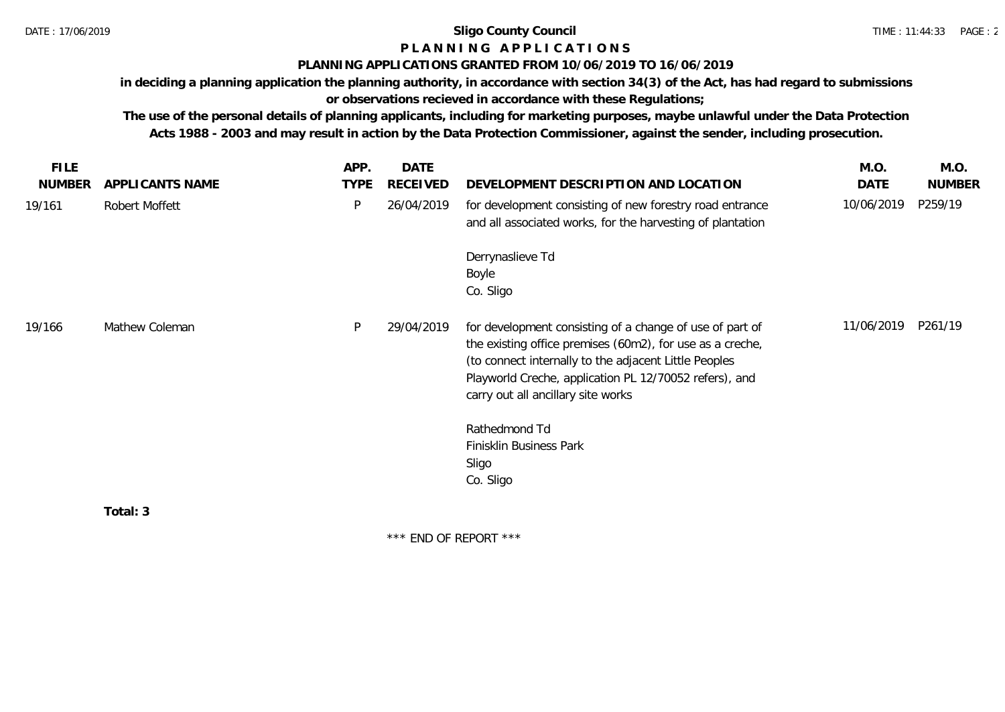# **P L A N N I N G A P P L I C A T I O N S**

## **PLANNING APPLICATIONS GRANTED FROM 10/06/2019 TO 16/06/2019**

**in deciding a planning application the planning authority, in accordance with section 34(3) of the Act, has had regard to submissions or observations recieved in accordance with these Regulations;**

**The use of the personal details of planning applicants, including for marketing purposes, maybe unlawful under the Data Protection Acts 1988 - 2003 and may result in action by the Data Protection Commissioner, against the sender, including prosecution.**

| <b>FILE</b>   |                 | APP.        | <b>DATE</b>     |                                                                                                                                                                                                                                                                                                                                     | M.O.       | M.O.          |
|---------------|-----------------|-------------|-----------------|-------------------------------------------------------------------------------------------------------------------------------------------------------------------------------------------------------------------------------------------------------------------------------------------------------------------------------------|------------|---------------|
| <b>NUMBER</b> | APPLICANTS NAME | <b>TYPE</b> | <b>RECEIVED</b> | DEVELOPMENT DESCRIPTION AND LOCATION                                                                                                                                                                                                                                                                                                | DATE       | <b>NUMBER</b> |
| 19/161        | Robert Moffett  | P           | 26/04/2019      | for development consisting of new forestry road entrance<br>and all associated works, for the harvesting of plantation                                                                                                                                                                                                              | 10/06/2019 | P259/19       |
|               |                 |             |                 | Derrynaslieve Td<br>Boyle<br>Co. Sligo                                                                                                                                                                                                                                                                                              |            |               |
| 19/166        | Mathew Coleman  | P           | 29/04/2019      | for development consisting of a change of use of part of<br>the existing office premises (60m2), for use as a creche,<br>(to connect internally to the adjacent Little Peoples<br>Playworld Creche, application PL 12/70052 refers), and<br>carry out all ancillary site works<br>Rathedmond Td<br>Finisklin Business Park<br>Sligo | 11/06/2019 | P261/19       |
|               |                 |             |                 | Co. Sligo                                                                                                                                                                                                                                                                                                                           |            |               |
|               | Total: 3        |             |                 |                                                                                                                                                                                                                                                                                                                                     |            |               |

\*\*\* END OF REPORT \*\*\*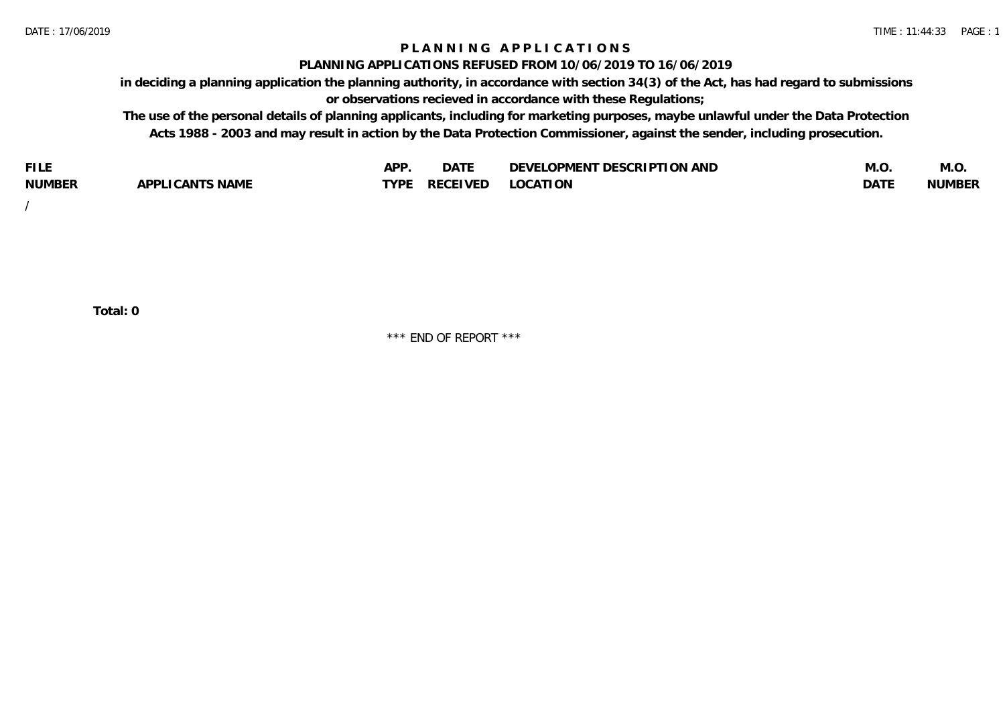## **P L A N N I N G A P P L I C A T I O N S**

#### **PLANNING APPLICATIONS REFUSED FROM 10/06/2019 TO 16/06/2019**

**in deciding a planning application the planning authority, in accordance with section 34(3) of the Act, has had regard to submissions or observations recieved in accordance with these Regulations;**

**The use of the personal details of planning applicants, including for marketing purposes, maybe unlawful under the Data Protection Acts 1988 - 2003 and may result in action by the Data Protection Commissioner, against the sender, including prosecution.**

| <b>FILE</b>   |                                                     | A DE | $\sim$ $\sim$ $\sim$<br>DA I | <b>ENT DESCRIPTION AND</b><br>$\cap$ nn.<br>)E\/F<br>. JIEN L<br>பட | IVI.U       | IVI.U         |
|---------------|-----------------------------------------------------|------|------------------------------|---------------------------------------------------------------------|-------------|---------------|
| <b>NUMBER</b> | <b>ANTS NAME</b><br>A DDI<br>$\sqrt{2}$<br>CAN<br>u | TVDL | ◡⊢                           | <b>OCATION</b>                                                      | <b>DATF</b> | <b>NUMBER</b> |

/

**Total: 0**

\*\*\* END OF REPORT \*\*\*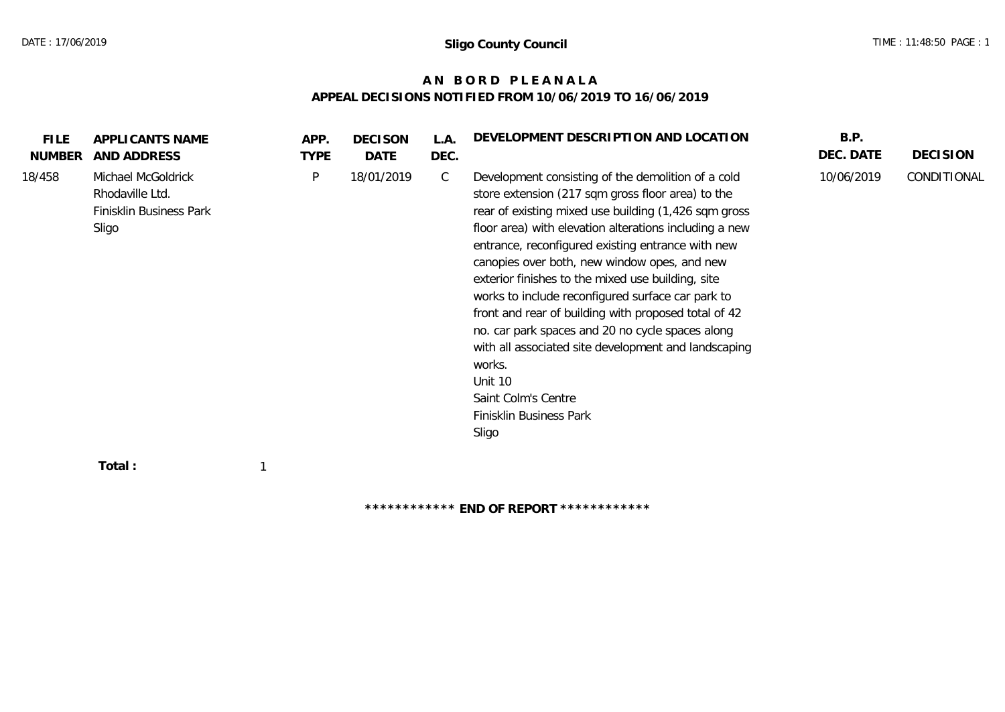## **A N B O R D P L E A N A L A APPEAL DECISIONS NOTIFIED FROM 10/06/2019 TO 16/06/2019**

| <b>FILE</b><br><b>NUMBER</b> | APPLICANTS NAME<br>AND ADDRESS                                            | APP.<br><b>TYPE</b> | <b>DECISON</b><br>DATE | L.A.<br>DEC. | DEVELOPMENT DESCRIPTION AND LOCATION                                                                                                                                                                                                                                                                                                                                                                                                                                                                                                                                                                                                                                                         | B.P.<br>DEC. DATE | <b>DECISION</b> |
|------------------------------|---------------------------------------------------------------------------|---------------------|------------------------|--------------|----------------------------------------------------------------------------------------------------------------------------------------------------------------------------------------------------------------------------------------------------------------------------------------------------------------------------------------------------------------------------------------------------------------------------------------------------------------------------------------------------------------------------------------------------------------------------------------------------------------------------------------------------------------------------------------------|-------------------|-----------------|
| 18/458                       | Michael McGoldrick<br>Rhodaville Ltd.<br>Finisklin Business Park<br>Sligo | P                   | 18/01/2019             | $\mathsf{C}$ | Development consisting of the demolition of a cold<br>store extension (217 sqm gross floor area) to the<br>rear of existing mixed use building (1,426 sqm gross<br>floor area) with elevation alterations including a new<br>entrance, reconfigured existing entrance with new<br>canopies over both, new window opes, and new<br>exterior finishes to the mixed use building, site<br>works to include reconfigured surface car park to<br>front and rear of building with proposed total of 42<br>no. car park spaces and 20 no cycle spaces along<br>with all associated site development and landscaping<br>works.<br>Unit 10<br>Saint Colm's Centre<br>Finisklin Business Park<br>Sligo | 10/06/2019        | CONDITIONAL     |
|                              | Total :                                                                   |                     |                        |              |                                                                                                                                                                                                                                                                                                                                                                                                                                                                                                                                                                                                                                                                                              |                   |                 |

**\*\*\*\*\*\*\*\*\*\*\*\* END OF REPORT \*\*\*\*\*\*\*\*\*\*\*\***